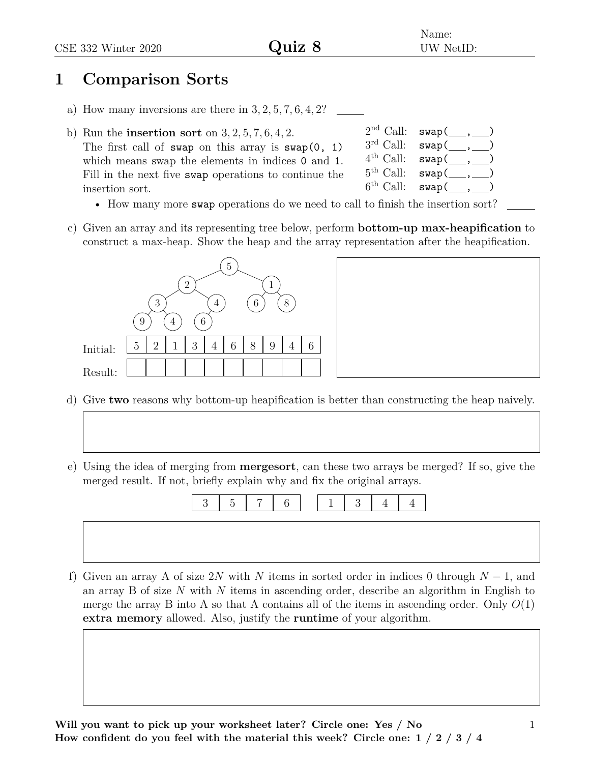## Name: UW NetID:

## **1 Comparison Sorts**

- a) How many inversions are there in 3*,* 2*,* 5*,* 7*,* 6*,* 4*,* 2?
- b) Run the **insertion sort** on 3*,* 2*,* 5*,* 7*,* 6*,* 4*,* 2. The first call of swap on this array is  $swap(0, 1)$ which means swap the elements in indices 0 and 1. Fill in the next five swap operations to continue the insertion sort.
- $2<sup>nd</sup>$  Call:  $swap($ ,  $3^{\text{rd}}$  Call:  $\text{swap}(\_\_\,,\_\_\)$  $4^{\text{th}}$  Call:  $\text{swap}(\_\_\,,\_\_\)$  $5^{\text{th}}$  Call:  $\text{swap}(\_\_\,,\_\_\)$  $6^{\text{th}}$  Call:  $\text{swap}(\_\_\,,\_\_\)$ 
	- How many more swap operations do we need to call to finish the insertion sort?
- c) Given an array and its representing tree below, perform **bottom-up max-heapification** to construct a max-heap. Show the heap and the array representation after the heapification.



- d) Give **two** reasons why bottom-up heapification is better than constructing the heap naively.
- e) Using the idea of merging from **mergesort**, can these two arrays be merged? If so, give the merged result. If not, briefly explain why and fix the original arrays.



f) Given an array A of size 2*N* with *N* items in sorted order in indices 0 through *N* − 1, and an array B of size *N* with *N* items in ascending order, describe an algorithm in English to merge the array B into A so that A contains all of the items in ascending order. Only  $O(1)$ **extra memory** allowed. Also, justify the **runtime** of your algorithm.